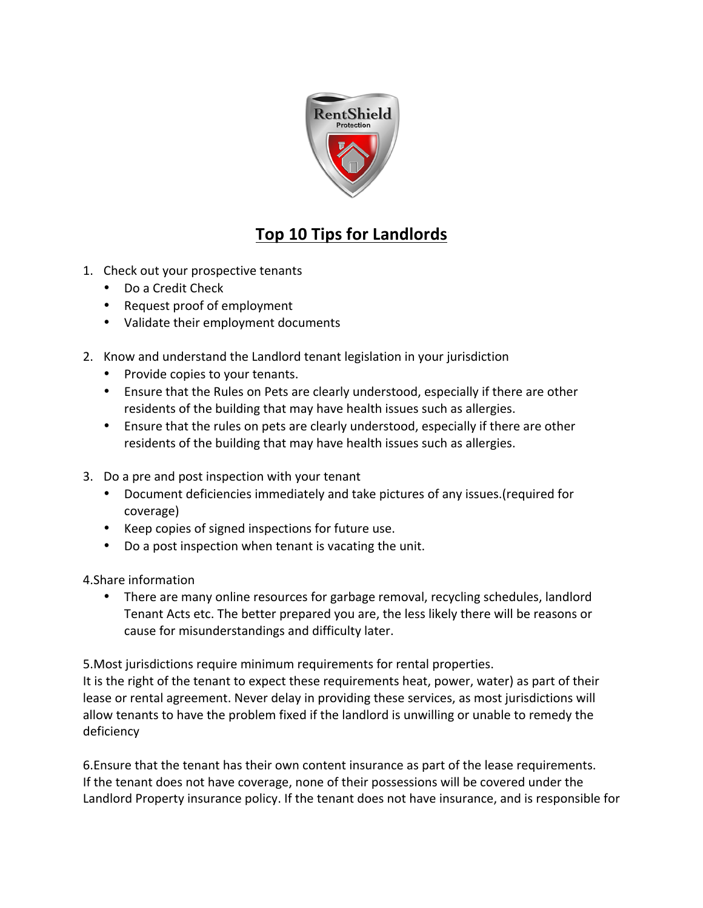

## **Top 10 Tips for Landlords**

- 1. Check out your prospective tenants
	- Do a Credit Check
	- Request proof of employment
	- Validate their employment documents
- 2. Know and understand the Landlord tenant legislation in your jurisdiction
	- Provide copies to your tenants.
	- Ensure that the Rules on Pets are clearly understood, especially if there are other residents of the building that may have health issues such as allergies.
	- Ensure that the rules on pets are clearly understood, especially if there are other residents of the building that may have health issues such as allergies.
- 3. Do a pre and post inspection with your tenant
	- Document deficiencies immediately and take pictures of any issues.(required for coverage)
	- Keep copies of signed inspections for future use.
	- Do a post inspection when tenant is vacating the unit.

4. Share information

• There are many online resources for garbage removal, recycling schedules, landlord Tenant Acts etc. The better prepared you are, the less likely there will be reasons or cause for misunderstandings and difficulty later.

5. Most jurisdictions require minimum requirements for rental properties.

It is the right of the tenant to expect these requirements heat, power, water) as part of their lease or rental agreement. Never delay in providing these services, as most jurisdictions will allow tenants to have the problem fixed if the landlord is unwilling or unable to remedy the deficiency

6. Ensure that the tenant has their own content insurance as part of the lease requirements. If the tenant does not have coverage, none of their possessions will be covered under the Landlord Property insurance policy. If the tenant does not have insurance, and is responsible for